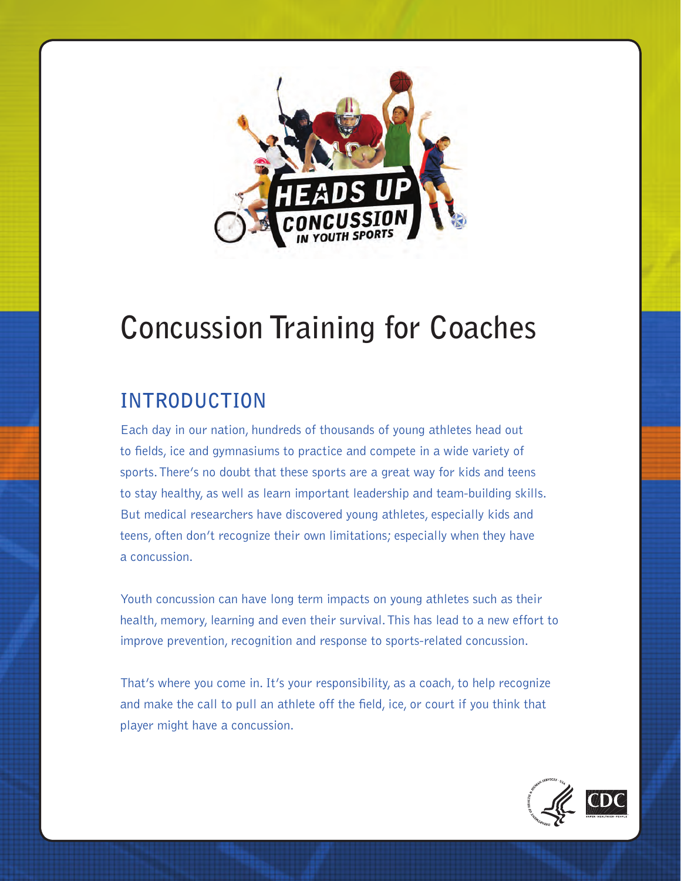

# **Concussion Training for Coaches**

## **INTRODUCTION**

Each day in our nation, hundreds of thousands of young athletes head out to fields, ice and gymnasiums to practice and compete in a wide variety of sports. There's no doubt that these sports are a great way for kids and teens to stay healthy, as well as learn important leadership and team-building skills. But medical researchers have discovered young athletes, especially kids and teens, often don't recognize their own limitations; especially when they have a concussion.

Youth concussion can have long term impacts on young athletes such as their health, memory, learning and even their survival. This has lead to a new effort to improve prevention, recognition and response to sports-related concussion.

That's where you come in. It's your responsibility, as a coach, to help recognize and make the call to pull an athlete off the field, ice, or court if you think that player might have a concussion.

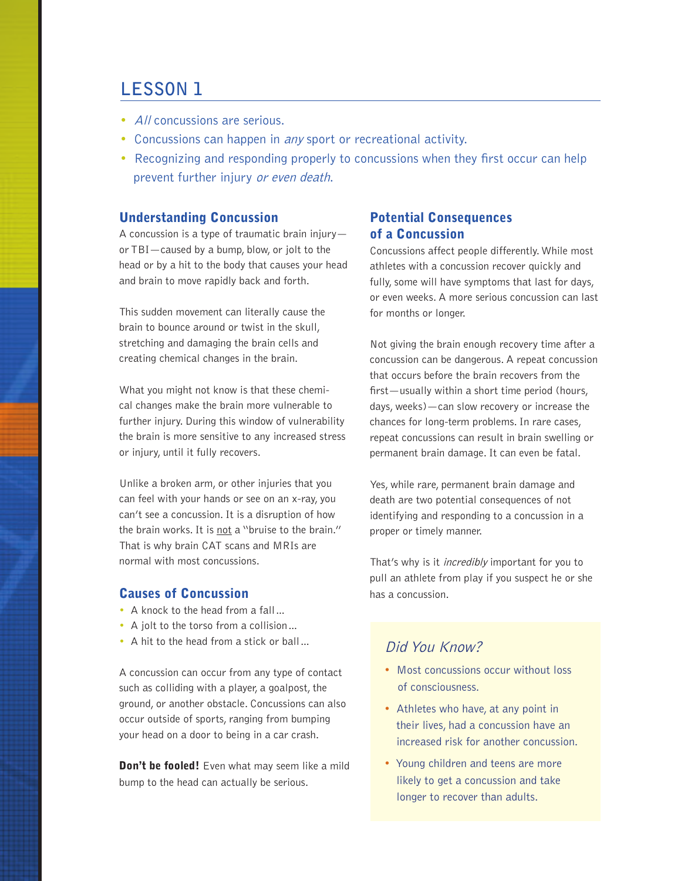## **LESSON 1**

- All concussions are serious.
- Concussions can happen in *any* sport or recreational activity.
- Recognizing and responding properly to concussions when they first occur can help prevent further injury or even death.

#### Understanding Concussion

A concussion is a type of traumatic brain injury or TBI—caused by a bump, blow, or jolt to the head or by a hit to the body that causes your head and brain to move rapidly back and forth.

This sudden movement can literally cause the brain to bounce around or twist in the skull, stretching and damaging the brain cells and creating chemical changes in the brain.

What you might not know is that these chemical changes make the brain more vulnerable to further injury. During this window of vulnerability the brain is more sensitive to any increased stress or injury, until it fully recovers.

Unlike a broken arm, or other injuries that you can feel with your hands or see on an x-ray, you can't see a concussion. It is a disruption of how the brain works. It is not a "bruise to the brain." That is why brain CAT scans and MRIs are normal with most concussions.

#### Causes of Concussion

- A knock to the head from a fall…
- A jolt to the torso from a collision…
- A hit to the head from a stick or ball...

A concussion can occur from any type of contact such as colliding with a player, a goalpost, the ground, or another obstacle. Concussions can also occur outside of sports, ranging from bumping your head on a door to being in a car crash.

Don't be fooled! Even what may seem like a mild bump to the head can actually be serious.

#### Potential Consequences of a Concussion

Concussions affect people differently. While most athletes with a concussion recover quickly and fully, some will have symptoms that last for days, or even weeks. A more serious concussion can last for months or longer.

Not giving the brain enough recovery time after a concussion can be dangerous. A repeat concussion that occurs before the brain recovers from the first—usually within a short time period (hours, days, weeks)—can slow recovery or increase the chances for long-term problems. In rare cases, repeat concussions can result in brain swelling or permanent brain damage. It can even be fatal.

Yes, while rare, permanent brain damage and death are two potential consequences of not identifying and responding to a concussion in a proper or timely manner.

That's why is it *incredibly* important for you to pull an athlete from play if you suspect he or she has a concussion.

### Did You Know?

- Most concussions occur without loss of consciousness.
- Athletes who have, at any point in their lives, had a concussion have an increased risk for another concussion.
- Young children and teens are more likely to get a concussion and take longer to recover than adults.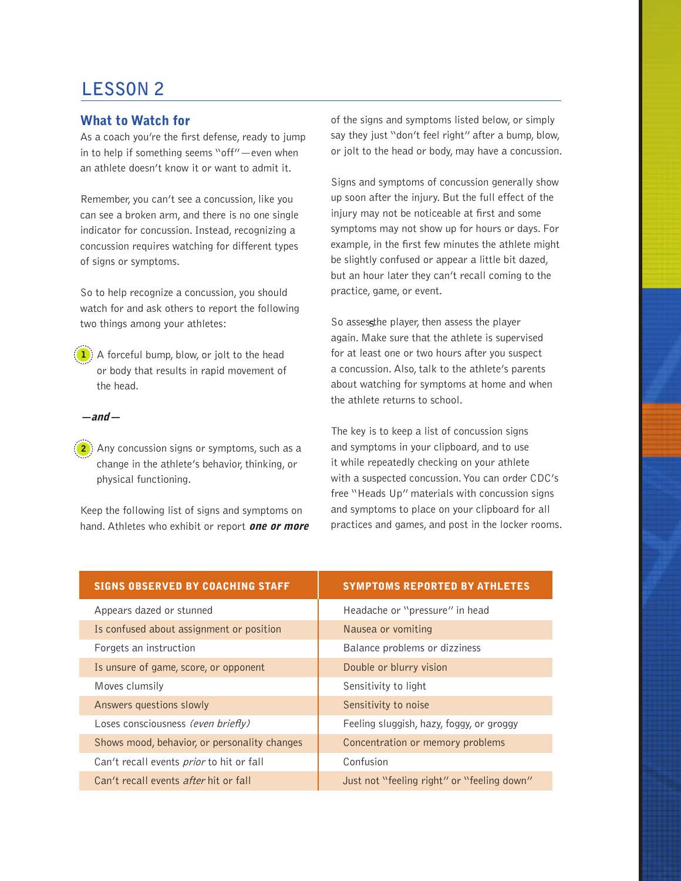## **LESSON 2**

#### What to Watch for

As a coach you're the first defense, ready to jump in to help if something seems "off"—even when an athlete doesn't know it or want to admit it.

Remember, you can't see a concussion, like you can see a broken arm, and there is no one single indicator for concussion. Instead, recognizing a concussion requires watching for different types of signs or symptoms.

So to help recognize a concussion, you should watch for and ask others to report the following two things among your athletes:

 $(1)$  A forceful bump, blow, or jolt to the head or body that results in rapid movement of the head.

 $-$ and $-$ 

 $\mathbf{2}$ ) Any concussion signs or symptoms, such as a change in the athlete's behavior, thinking, or physical functioning.

Keep the following list of signs and symptoms on hand. Athletes who exhibit or report **one or more**  of the signs and symptoms listed below, or simply say they just "don't feel right" after a bump, blow, or jolt to the head or body, may have a concussion.

Signs and symptoms of concussion generally show up soon after the injury. But the full effect of the injury may not be noticeable at first and some symptoms may not show up for hours or days. For example, in the first few minutes the athlete might be slightly confused or appear a little bit dazed, but an hour later they can't recall coming to the practice, game, or event.

So assessthe player, then assess the player again. Make sure that the athlete is supervised for at least one or two hours after you suspect a concussion. Also, talk to the athlete's parents about watching for symptoms at home and when the athlete returns to school.

The key is to keep a list of concussion signs and symptoms in your clipboard, and to use it while repeatedly checking on your athlete with a suspected concussion. You can order CDC's free "Heads Up" materials with concussion signs and symptoms to place on your clipboard for all practices and games, and post in the locker rooms.

| <b>SIGNS OBSERVED BY COACHING STAFF</b>      | <b>SYMPTOMS REPORTED BY ATHLETES</b>       |
|----------------------------------------------|--------------------------------------------|
| Appears dazed or stunned                     | Headache or "pressure" in head             |
| Is confused about assignment or position     | Nausea or vomiting                         |
| Forgets an instruction                       | Balance problems or dizziness              |
| Is unsure of game, score, or opponent        | Double or blurry vision                    |
| Moves clumsily                               | Sensitivity to light                       |
| Answers questions slowly                     | Sensitivity to noise                       |
| Loses consciousness (even briefly)           | Feeling sluggish, hazy, foggy, or groggy   |
| Shows mood, behavior, or personality changes | Concentration or memory problems           |
| Can't recall events prior to hit or fall     | Confusion                                  |
| Can't recall events after hit or fall        | Just not "feeling right" or "feeling down" |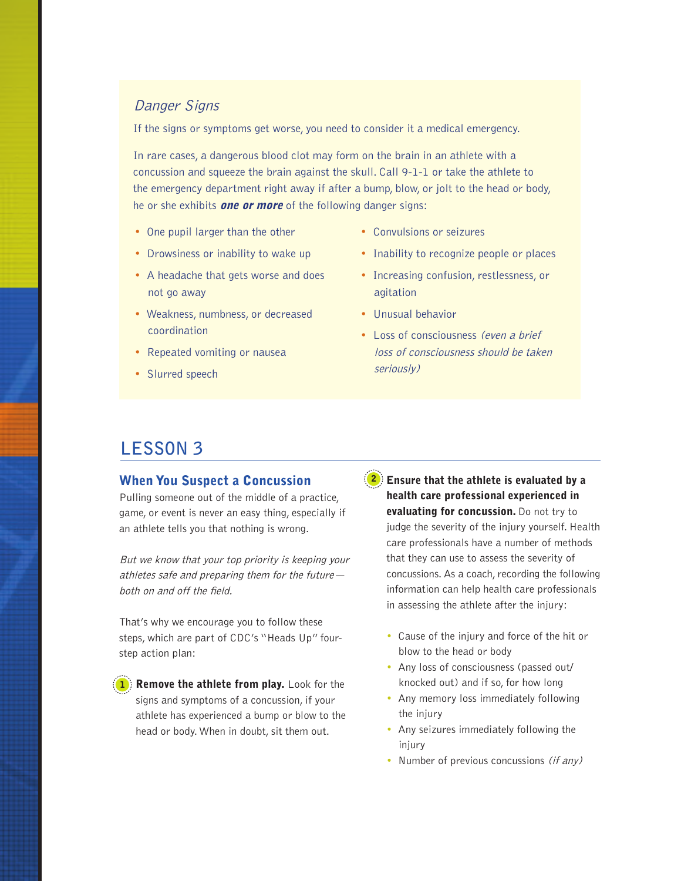#### Danger Signs

If the signs or symptoms get worse, you need to consider it a medical emergency.

In rare cases, a dangerous blood clot may form on the brain in an athlete with a concussion and squeeze the brain against the skull. Call 9-1-1 or take the athlete to the emergency department right away if after a bump, blow, or jolt to the head or body, he or she exhibits **one or more** of the following danger signs:

- One pupil larger than the other
- Drowsiness or inability to wake up
- A headache that gets worse and does not go away
- Weakness, numbness, or decreased coordination
- Repeated vomiting or nausea
- Slurred speech
- Convulsions or seizures
- Inability to recognize people or places
- Increasing confusion, restlessness, or agitation
- Unusual behavior
- Loss of consciousness *(even a brief* loss of consciousness should be taken seriously)

## **LESSON 3**

#### When You Suspect a Concussion

Pulling someone out of the middle of a practice, game, or event is never an easy thing, especially if an athlete tells you that nothing is wrong.

But we know that your top priority is keeping your athletes safe and preparing them for the future both on and off the field.

That's why we encourage you to follow these steps, which are part of CDC's "Heads Up" fourstep action plan:

 $\left( \textbf{1} \right)$  Remove the athlete from play. Look for the signs and symptoms of a concussion, if your athlete has experienced a bump or blow to the head or body. When in doubt, sit them out.

 $(2)$  Ensure that the athlete is evaluated by a health care professional experienced in evaluating for concussion. Do not try to judge the severity of the injury yourself. Health care professionals have a number of methods that they can use to assess the severity of concussions. As a coach, recording the following information can help health care professionals in assessing the athlete after the injury:

- Cause of the injury and force of the hit or blow to the head or body
- Any loss of consciousness (passed out/ knocked out) and if so, for how long
- Any memory loss immediately following the injury
- Any seizures immediately following the injury
- Number of previous concussions (if any)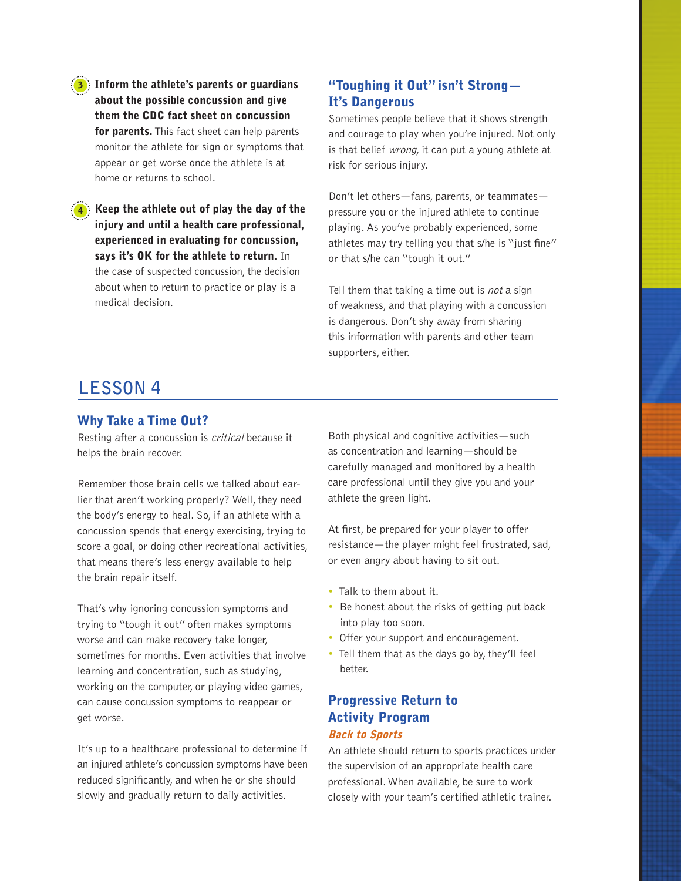Inform the athlete's parents or guardians about the possible concussion and give them the CDC fact sheet on concussion for parents. This fact sheet can help parents monitor the athlete for sign or symptoms that appear or get worse once the athlete is at home or returns to school.

Keep the athlete out of play the day of the injury and until a health care professional, experienced in evaluating for concussion, says it's OK for the athlete to return. In the case of suspected concussion, the decision about when to return to practice or play is a medical decision.

#### "Toughing it Out" isn't Strong— It's Dangerous

Sometimes people believe that it shows strength and courage to play when you're injured. Not only is that belief wrong, it can put a young athlete at risk for serious injury.

Don't let others—fans, parents, or teammates pressure you or the injured athlete to continue playing. As you've probably experienced, some athletes may try telling you that s/he is "just fine" or that s/he can "tough it out."

Tell them that taking a time out is *not* a sign of weakness, and that playing with a concussion is dangerous. Don't shy away from sharing this information with parents and other team supporters, either.

## **LESSON 4**

#### Why Take a Time Out?

Resting after a concussion is critical because it helps the brain recover.

Remember those brain cells we talked about earlier that aren't working properly? Well, they need the body's energy to heal. So, if an athlete with a concussion spends that energy exercising, trying to score a goal, or doing other recreational activities, that means there's less energy available to help the brain repair itself.

That's why ignoring concussion symptoms and trying to "tough it out" often makes symptoms worse and can make recovery take longer, sometimes for months. Even activities that involve learning and concentration, such as studying, working on the computer, or playing video games, can cause concussion symptoms to reappear or get worse.

It's up to a healthcare professional to determine if an injured athlete's concussion symptoms have been reduced significantly, and when he or she should slowly and gradually return to daily activities.

Both physical and cognitive activities—such as concentration and learning—should be carefully managed and monitored by a health care professional until they give you and your athlete the green light.

At first, be prepared for your player to offer resistance—the player might feel frustrated, sad, or even angry about having to sit out.

- Talk to them about it.
- Be honest about the risks of getting put back into play too soon.
- Offer your support and encouragement.
- Tell them that as the days go by, they'll feel better.

#### Progressive Return to Activity Program Back to Sports

An athlete should return to sports practices under the supervision of an appropriate health care professional. When available, be sure to work closely with your team's certified athletic trainer.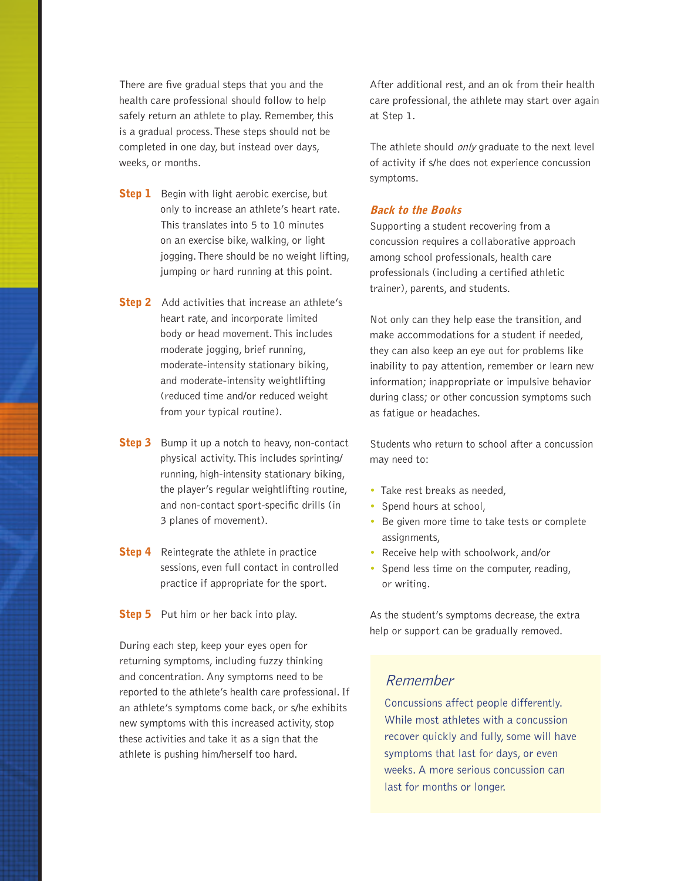There are five gradual steps that you and the health care professional should follow to help safely return an athlete to play. Remember, this is a gradual process. These steps should not be completed in one day, but instead over days, weeks, or months.

- **Step 1** Begin with light aerobic exercise, but only to increase an athlete's heart rate. This translates into 5 to 10 minutes on an exercise bike, walking, or light jogging. There should be no weight lifting, jumping or hard running at this point.
- **Step 2** Add activities that increase an athlete's heart rate, and incorporate limited body or head movement. This includes moderate jogging, brief running, moderate-intensity stationary biking, and moderate-intensity weightlifting (reduced time and/or reduced weight from your typical routine).
- **Step 3** Bump it up a notch to heavy, non-contact physical activity. This includes sprinting/ running, high-intensity stationary biking, the player's regular weightlifting routine, and non-contact sport-specific drills (in 3 planes of movement).
- **Step 4** Reintegrate the athlete in practice sessions, even full contact in controlled practice if appropriate for the sport.
- **Step 5** Put him or her back into play.

During each step, keep your eyes open for returning symptoms, including fuzzy thinking and concentration. Any symptoms need to be reported to the athlete's health care professional. If an athlete's symptoms come back, or s/he exhibits new symptoms with this increased activity, stop these activities and take it as a sign that the athlete is pushing him/herself too hard.

After additional rest, and an ok from their health care professional, the athlete may start over again at Step 1.

The athlete should only graduate to the next level of activity if s/he does not experience concussion symptoms.

#### Back to the Books

Supporting a student recovering from a concussion requires a collaborative approach among school professionals, health care professionals (including a certified athletic trainer), parents, and students.

Not only can they help ease the transition, and make accommodations for a student if needed, they can also keep an eye out for problems like inability to pay attention, remember or learn new information; inappropriate or impulsive behavior during class; or other concussion symptoms such as fatigue or headaches.

Students who return to school after a concussion may need to:

- Take rest breaks as needed,
- Spend hours at school,
- Be given more time to take tests or complete assignments,
- Receive help with schoolwork, and/or
- Spend less time on the computer, reading, or writing.

As the student's symptoms decrease, the extra help or support can be gradually removed.

#### Remember

Concussions affect people differently. While most athletes with a concussion recover quickly and fully, some will have symptoms that last for days, or even weeks. A more serious concussion can last for months or longer.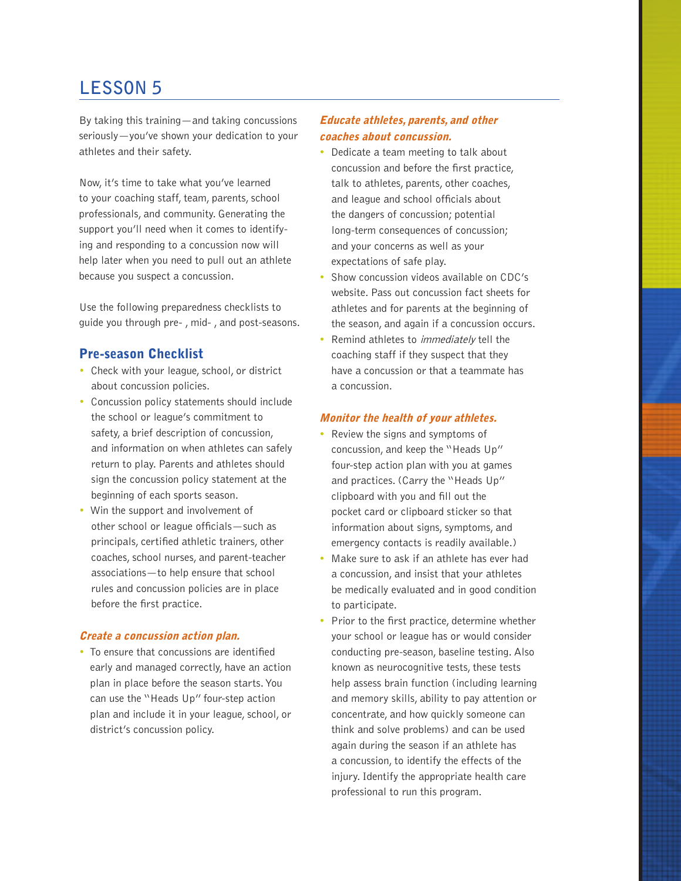## **LESSON 5**

By taking this training—and taking concussions seriously—you've shown your dedication to your athletes and their safety.

Now, it's time to take what you've learned to your coaching staff, team, parents, school professionals, and community. Generating the support you'll need when it comes to identifying and responding to a concussion now will help later when you need to pull out an athlete because you suspect a concussion.

Use the following preparedness checklists to guide you through pre- , mid- , and post-seasons.

#### Pre-season Checklist

- Check with your league, school, or district about concussion policies.
- Concussion policy statements should include the school or league's commitment to safety, a brief description of concussion, and information on when athletes can safely return to play. Parents and athletes should sign the concussion policy statement at the beginning of each sports season.
- Win the support and involvement of other school or league officials—such as principals, certified athletic trainers, other coaches, school nurses, and parent-teacher associations—to help ensure that school rules and concussion policies are in place before the first practice.

#### Create a concussion action plan.

• To ensure that concussions are identified early and managed correctly, have an action plan in place before the season starts. You can use the "Heads Up" four-step action plan and include it in your league, school, or district's concussion policy.

#### Educate athletes, parents, and other coaches about concussion.

- Dedicate a team meeting to talk about concussion and before the first practice, talk to athletes, parents, other coaches, and league and school officials about the dangers of concussion; potential long-term consequences of concussion; and your concerns as well as your expectations of safe play.
- Show concussion videos available on CDC's website. Pass out concussion fact sheets for athletes and for parents at the beginning of the season, and again if a concussion occurs.
- Remind athletes to *immediately* tell the coaching staff if they suspect that they have a concussion or that a teammate has a concussion.

#### Monitor the health of your athletes.

- Review the signs and symptoms of concussion, and keep the "Heads Up" four-step action plan with you at games and practices. (Carry the "Heads Up" clipboard with you and fill out the pocket card or clipboard sticker so that information about signs, symptoms, and emergency contacts is readily available.)
- Make sure to ask if an athlete has ever had a concussion, and insist that your athletes be medically evaluated and in good condition to participate.
- Prior to the first practice, determine whether your school or league has or would consider conducting pre-season, baseline testing. Also known as neurocognitive tests, these tests help assess brain function (including learning and memory skills, ability to pay attention or concentrate, and how quickly someone can think and solve problems) and can be used again during the season if an athlete has a concussion, to identify the effects of the injury. Identify the appropriate health care professional to run this program.